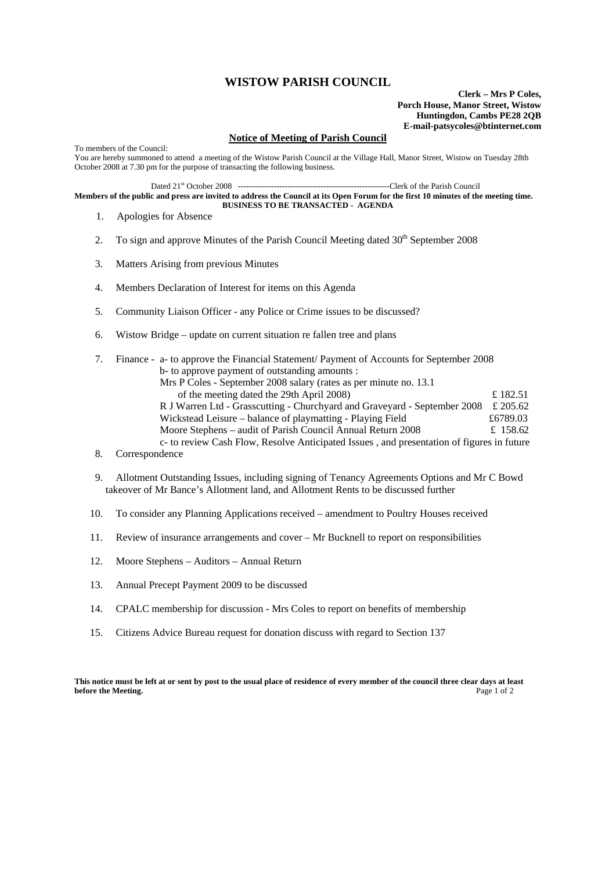## **WISTOW PARISH COUNCIL**

**Clerk – Mrs P Coles, Porch House, Manor Street, Wistow Huntingdon, Cambs PE28 2QB E-mail-patsycoles@btinternet.com**

## **Notice of Meeting of Parish Council**

To members of the Council: You are hereby summoned to attend a meeting of the Wistow Parish Council at the Village Hall, Manor Street, Wistow on Tuesday 28th October 2008 at 7.30 pm for the purpose of transacting the following business.

Dated 21st October 2008 -------------------------------------------------------Clerk of the Parish Council

**Members of the public and press are invited to address the Council at its Open Forum for the first 10 minutes of the meeting time. BUSINESS TO BE TRANSACTED - AGENDA** 

- 1. Apologies for Absence
- 2. To sign and approve Minutes of the Parish Council Meeting dated  $30<sup>th</sup>$  September 2008
- 3. Matters Arising from previous Minutes
- 4. Members Declaration of Interest for items on this Agenda
- 5. Community Liaison Officer any Police or Crime issues to be discussed?
- 6. Wistow Bridge update on current situation re fallen tree and plans
- 7. Finance a- to approve the Financial Statement/ Payment of Accounts for September 2008 b- to approve payment of outstanding amounts : Mrs P Coles - September 2008 salary (rates as per minute no. 13.1 of the meeting dated the 29th April 2008)  $\text{\textsterling}} 182.51$  R J Warren Ltd - Grasscutting - Churchyard and Graveyard - September 2008 £ 205.62 Wickstead Leisure – balance of playmatting - Playing Field  $£6789.03$ Moore Stephens – audit of Parish Council Annual Return 2008 £ 158.62 c- to review Cash Flow, Resolve Anticipated Issues , and presentation of figures in future
- **Correspondence**
- 9. Allotment Outstanding Issues, including signing of Tenancy Agreements Options and Mr C Bowd takeover of Mr Bance's Allotment land, and Allotment Rents to be discussed further
- 10. To consider any Planning Applications received amendment to Poultry Houses received
- 11. Review of insurance arrangements and cover Mr Bucknell to report on responsibilities
- 12. Moore Stephens Auditors Annual Return
- 13. Annual Precept Payment 2009 to be discussed
- 14. CPALC membership for discussion Mrs Coles to report on benefits of membership
- 15. Citizens Advice Bureau request for donation discuss with regard to Section 137

**This notice must be left at or sent by post to the usual place of residence of every member of the council three clear days at least before the Meeting.** Page 1 of 2